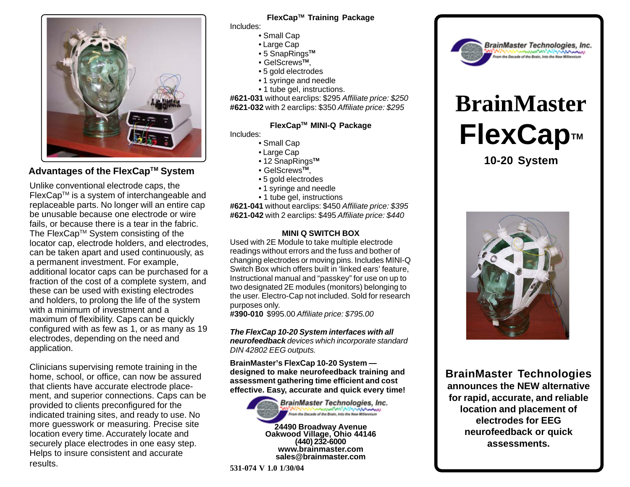

# **Advantages of the FlexCap™ System**

Unlike conventional electrode caps, the FlexCapTM is a system of interchangeable and replaceable parts. No longer will an entire cap be unusable because one electrode or wire fails, or because there is a tear in the fabric. The FlexCap™ System consisting of the locator cap, electrode holders, and electrodes, can be taken apart and used continuously, as a permanent investment. For example, additional locator caps can be purchased for a fraction of the cost of a complete system, and these can be used with existing electrodes and holders, to prolong the life of the system with a minimum of investment and a maximum of flexibility. Caps can be quickly configured with as few as 1, or as many as 19 electrodes, depending on the need and application.

Clinicians supervising remote training in the home, school, or office, can now be assured that clients have accurate electrode placement, and superior connections. Caps can be provided to clients preconfigured for the indicated training sites, and ready to use. No more guesswork or measuring. Precise site location every time. Accurately locate and securely place electrodes in one easy step. Helps to insure consistent and accurate results.

# **FlexCapTM Training Package**

Includes:

- Small Cap
- Large Cap
- 5 SnapRings**TM**
- GelScrews**TM**,
- 5 gold electrodes
- 1 syringe and needle
- 1 tube gel, instructions.

**#621-031** without earclips: \$295 *Affiliate price: \$250* **#621-032** with 2 earclips: \$350 *Affiliate price: \$295*

### **FlexCapTM MINI-Q Package**

Includes:

- Small Cap
- Large Cap
- 12 SnapRings**TM**
- GelScrews**TM**,
- 5 gold electrodes
- 1 syringe and needle
- 1 tube gel, instructions

**#621-041** without earclips: \$450 *Affiliate price: \$395* **#621-042** with 2 earclips: \$495 *Affiliate price: \$440*

#### **MINI Q SWITCH BOX**

Used with 2E Module to take multiple electrode readings without errors and the fuss and bother of changing electrodes or moving pins. Includes MINI-Q Switch Box which offers built in 'linked ears' feature, Instructional manual and "passkey" for use on up to two designated 2E modules (monitors) belonging to the user. Electro-Cap not included. Sold for research purposes only.

**#390-010** \$995.00 *Affiliate price: \$795.00*

*The FlexCap 10-20 System interfaces with all neurofeedback devices which incorporate standard DIN 42802 EEG outputs.*

**BrainMaster's FlexCap 10-20 System designed to make neurofeedback training and assessment gathering time efficient and cost effective. Easy, accurate and quick every time!**



**531-074 V 1.0 1/30/04**



# **BrainMaster FlexCap™**

**10-20 System**



**BrainMaster Technologies announces the NEW alternative for rapid, accurate, and reliable location and placement of electrodes for EEG neurofeedback or quick assessments.**